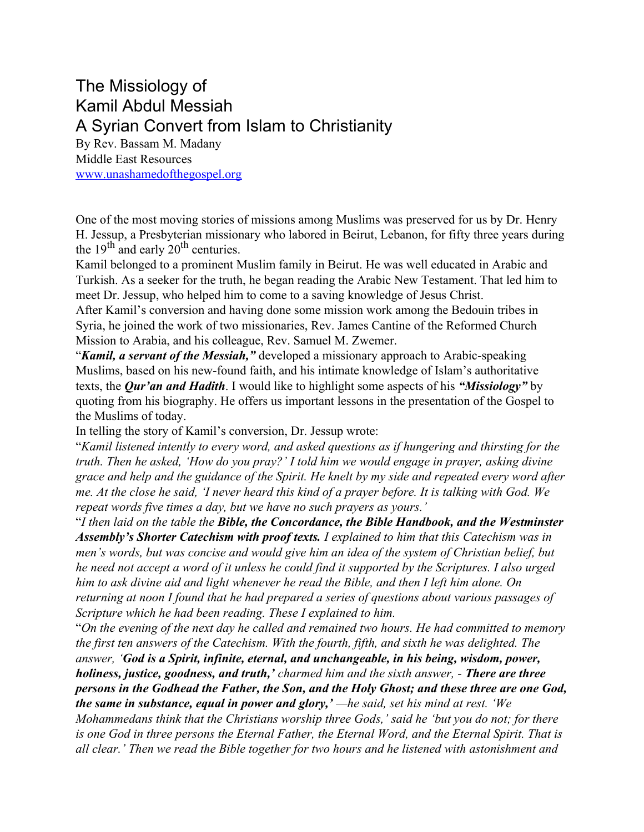## The Missiology of Kamil Abdul Messiah A Syrian Convert from Islam to Christianity

By Rev. Bassam M. Madany Middle East Resources [www.unashamedofthegospel.org](http://www.unashamedofthegospel.org/)

One of the most moving stories of missions among Muslims was preserved for us by Dr. Henry H. Jessup, a Presbyterian missionary who labored in Beirut, Lebanon, for fifty three years during the 19<sup>th</sup> and early  $20^{th}$  centuries.

Kamil belonged to a prominent Muslim family in Beirut. He was well educated in Arabic and Turkish. As a seeker for the truth, he began reading the Arabic New Testament. That led him to meet Dr. Jessup, who helped him to come to a saving knowledge of Jesus Christ.

After Kamil's conversion and having done some mission work among the Bedouin tribes in Syria, he joined the work of two missionaries, Rev. James Cantine of the Reformed Church Mission to Arabia, and his colleague, Rev. Samuel M. Zwemer.

"*Kamil, a servant of the Messiah,"* developed a missionary approach to Arabic-speaking Muslims, based on his new-found faith, and his intimate knowledge of Islam's authoritative texts, the *Qur'an and Hadith*. I would like to highlight some aspects of his *"Missiology"* by quoting from his biography. He offers us important lessons in the presentation of the Gospel to the Muslims of today.

In telling the story of Kamil's conversion, Dr. Jessup wrote:

"*Kamil listened intently to every word, and asked questions as if hungering and thirsting for the truth. Then he asked, 'How do you pray?' I told him we would engage in prayer, asking divine grace and help and the guidance of the Spirit. He knelt by my side and repeated every word after me. At the close he said, 'I never heard this kind of a prayer before. It is talking with God. We repeat words five times a day, but we have no such prayers as yours.'*

"*I then laid on the table the Bible, the Concordance, the Bible Handbook, and the Westminster Assembly's Shorter Catechism with proof texts. I explained to him that this Catechism was in men's words, but was concise and would give him an idea of the system of Christian belief, but he need not accept a word of it unless he could find it supported by the Scriptures. I also urged him to ask divine aid and light whenever he read the Bible, and then I left him alone. On returning at noon I found that he had prepared a series of questions about various passages of Scripture which he had been reading. These I explained to him.*

"*On the evening of the next day he called and remained two hours. He had committed to memory the first ten answers of the Catechism. With the fourth, fifth, and sixth he was delighted. The answer, 'God is a Spirit, infinite, eternal, and unchangeable, in his being, wisdom, power, holiness, justice, goodness, and truth,' charmed him and the sixth answer, - There are three persons in the Godhead the Father, the Son, and the Holy Ghost; and these three are one God, the same in substance, equal in power and glory,' —he said, set his mind at rest. 'We*

*Mohammedans think that the Christians worship three Gods,' said he 'but you do not; for there is one God in three persons the Eternal Father, the Eternal Word, and the Eternal Spirit. That is all clear.' Then we read the Bible together for two hours and he listened with astonishment and*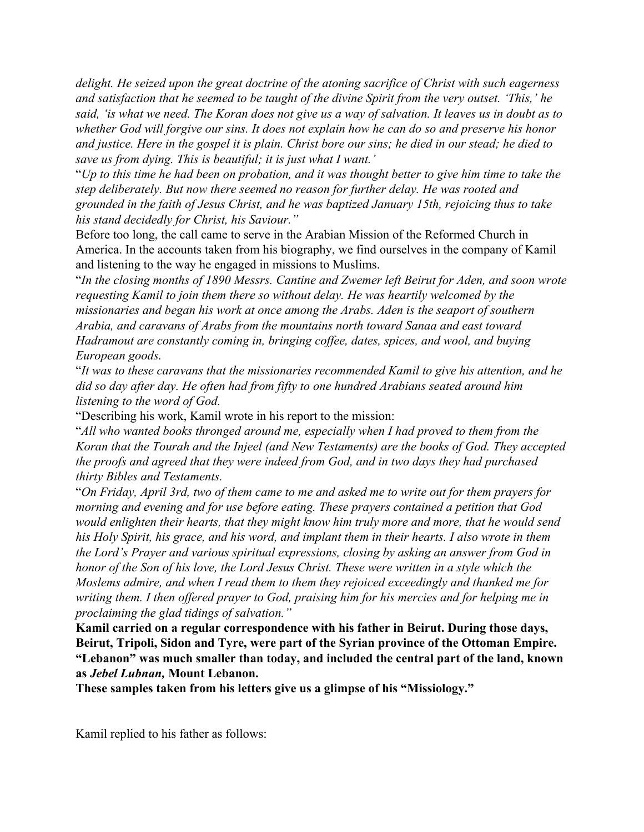*delight. He seized upon the great doctrine of the atoning sacrifice of Christ with such eagerness and satisfaction that he seemed to be taught of the divine Spirit from the very outset. 'This,' he said, 'is what we need. The Koran does not give us a way of salvation. It leaves us in doubt as to whether God will forgive our sins. It does not explain how he can do so and preserve his honor and justice. Here in the gospel it is plain. Christ bore our sins; he died in our stead; he died to save us from dying. This is beautiful; it is just what I want.'*

"*Up to this time he had been on probation, and it was thought better to give him time to take the step deliberately. But now there seemed no reason for further delay. He was rooted and grounded in the faith of Jesus Christ, and he was baptized January 15th, rejoicing thus to take his stand decidedly for Christ, his Saviour."*

Before too long, the call came to serve in the Arabian Mission of the Reformed Church in America. In the accounts taken from his biography, we find ourselves in the company of Kamil and listening to the way he engaged in missions to Muslims.

"*In the closing months of 1890 Messrs. Cantine and Zwemer left Beirut for Aden, and soon wrote requesting Kamil to join them there so without delay. He was heartily welcomed by the missionaries and began his work at once among the Arabs. Aden is the seaport of southern Arabia, and caravans of Arabs from the mountains north toward Sanaa and east toward Hadramout are constantly coming in, bringing coffee, dates, spices, and wool, and buying European goods.*

"*It was to these caravans that the missionaries recommended Kamil to give his attention, and he did so day after day. He often had from fifty to one hundred Arabians seated around him listening to the word of God.*

"Describing his work, Kamil wrote in his report to the mission:

"*All who wanted books thronged around me, especially when I had proved to them from the Koran that the Tourah and the Injeel (and New Testaments) are the books of God. They accepted the proofs and agreed that they were indeed from God, and in two days they had purchased thirty Bibles and Testaments.*

"*On Friday, April 3rd, two of them came to me and asked me to write out for them prayers for morning and evening and for use before eating. These prayers contained a petition that God would enlighten their hearts, that they might know him truly more and more, that he would send his Holy Spirit, his grace, and his word, and implant them in their hearts. I also wrote in them the Lord's Prayer and various spiritual expressions, closing by asking an answer from God in honor of the Son of his love, the Lord Jesus Christ. These were written in a style which the Moslems admire, and when I read them to them they rejoiced exceedingly and thanked me for writing them. I then offered prayer to God, praising him for his mercies and for helping me in proclaiming the glad tidings of salvation."*

**Kamil carried on a regular correspondence with his father in Beirut. During those days, Beirut, Tripoli, Sidon and Tyre, were part of the Syrian province of the Ottoman Empire. "Lebanon" was much smaller than today, and included the central part of the land, known as** *Jebel Lubnan,* **Mount Lebanon.**

**These samples taken from his letters give us a glimpse of his "Missiology."**

Kamil replied to his father as follows: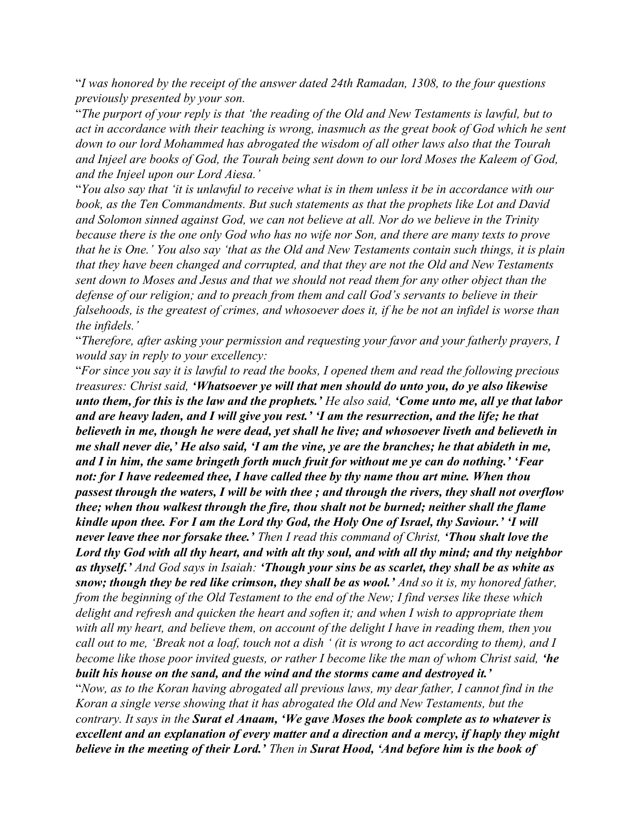"*I was honored by the receipt of the answer dated 24th Ramadan, 1308, to the four questions previously presented by your son.*

"*The purport of your reply is that 'the reading of the Old and New Testaments is lawful, but to act in accordance with their teaching is wrong, inasmuch as the great book of God which he sent down to our lord Mohammed has abrogated the wisdom of all other laws also that the Tourah and Injeel are books of God, the Tourah being sent down to our lord Moses the Kaleem of God, and the Injeel upon our Lord Aiesa.'*

"*You also say that 'it is unlawful to receive what is in them unless it be in accordance with our book, as the Ten Commandments. But such statements as that the prophets like Lot and David and Solomon sinned against God, we can not believe at all. Nor do we believe in the Trinity because there is the one only God who has no wife nor Son, and there are many texts to prove that he is One.' You also say 'that as the Old and New Testaments contain such things, it is plain that they have been changed and corrupted, and that they are not the Old and New Testaments sent down to Moses and Jesus and that we should not read them for any other object than the defense of our religion; and to preach from them and call God's servants to believe in their falsehoods, is the greatest of crimes, and whosoever does it, if he be not an infidel is worse than the infidels.'*

"*Therefore, after asking your permission and requesting your favor and your fatherly prayers, I would say in reply to your excellency:*

"*For since you say it is lawful to read the books, I opened them and read the following precious treasures: Christ said, 'Whatsoever ye will that men should do unto you, do ye also likewise unto them, for this is the law and the prophets.' He also said, 'Come unto me, all ye that labor and are heavy laden, and I will give you rest.' 'I am the resurrection, and the life; he that believeth in me, though he were dead, yet shall he live; and whosoever liveth and believeth in me shall never die,' He also said, 'I am the vine, ye are the branches; he that abideth in me, and I in him, the same bringeth forth much fruit for without me ye can do nothing.' 'Fear not: for I have redeemed thee, I have called thee by thy name thou art mine. When thou passest through the waters, I will be with thee ; and through the rivers, they shall not overflow thee; when thou walkest through the fire, thou shalt not be burned; neither shall the flame kindle upon thee. For I am the Lord thy God, the Holy One of Israel, thy Saviour.' 'I will never leave thee nor forsake thee.' Then I read this command of Christ, 'Thou shalt love the Lord thy God with all thy heart, and with alt thy soul, and with all thy mind; and thy neighbor as thyself.' And God says in Isaiah: 'Though your sins be as scarlet, they shall be as white as snow; though they be red like crimson, they shall be as wool.' And so it is, my honored father, from the beginning of the Old Testament to the end of the New; I find verses like these which delight and refresh and quicken the heart and soften it; and when I wish to appropriate them with all my heart, and believe them, on account of the delight I have in reading them, then you call out to me, 'Break not a loaf, touch not a dish ' (it is wrong to act according to them), and I become like those poor invited guests, or rather I become like the man of whom Christ said, 'he built his house on the sand, and the wind and the storms came and destroyed it.'*

"*Now, as to the Koran having abrogated all previous laws, my dear father, I cannot find in the Koran a single verse showing that it has abrogated the Old and New Testaments, but the contrary. It says in the Surat el Anaam, 'We gave Moses the book complete as to whatever is excellent and an explanation of every matter and a direction and a mercy, if haply they might believe in the meeting of their Lord.' Then in Surat Hood, 'And before him is the book of*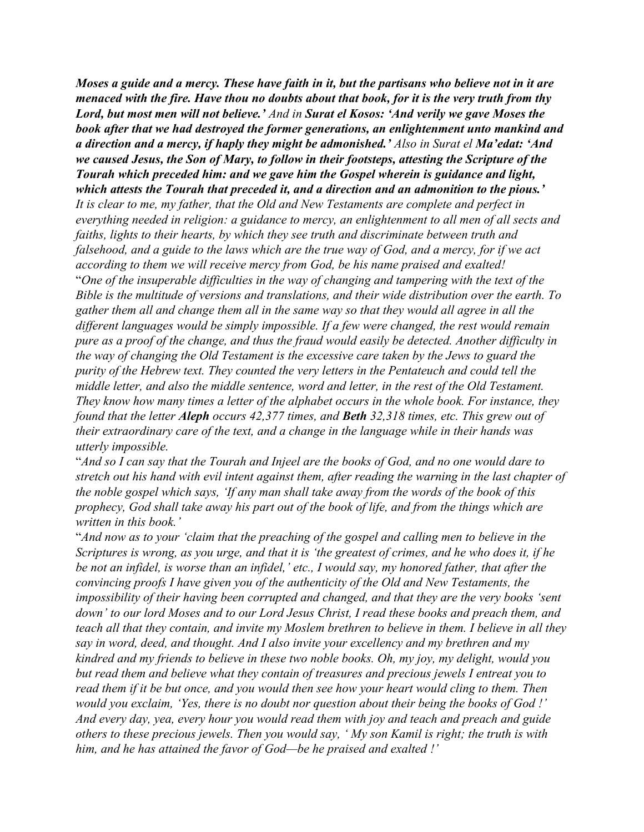*Moses a guide and a mercy. These have faith in it, but the partisans who believe not in it are menaced with the fire. Have thou no doubts about that book, for it is the very truth from thy Lord, but most men will not believe.' And in Surat el Kosos: 'And verily we gave Moses the book after that we had destroyed the former generations, an enlightenment unto mankind and a direction and a mercy, if haply they might be admonished.' Also in Surat el Ma'edat: 'And we caused Jesus, the Son of Mary, to follow in their footsteps, attesting the Scripture of the Tourah which preceded him: and we gave him the Gospel wherein is guidance and light, which attests the Tourah that preceded it, and a direction and an admonition to the pious.' It is clear to me, my father, that the Old and New Testaments are complete and perfect in everything needed in religion: a guidance to mercy, an enlightenment to all men of all sects and faiths, lights to their hearts, by which they see truth and discriminate between truth and falsehood, and a guide to the laws which are the true way of God, and a mercy, for if we act according to them we will receive mercy from God, be his name praised and exalted!* "*One of the insuperable difficulties in the way of changing and tampering with the text of the Bible is the multitude of versions and translations, and their wide distribution over the earth. To gather them all and change them all in the same way so that they would all agree in all the different languages would be simply impossible. If a few were changed, the rest would remain pure as a proof of the change, and thus the fraud would easily be detected. Another difficulty in the way of changing the Old Testament is the excessive care taken by the Jews to guard the purity of the Hebrew text. They counted the very letters in the Pentateuch and could tell the middle letter, and also the middle sentence, word and letter, in the rest of the Old Testament. They know how many times a letter of the alphabet occurs in the whole book. For instance, they found that the letter Aleph occurs 42,377 times, and Beth 32,318 times, etc. This grew out of their extraordinary care of the text, and a change in the language while in their hands was utterly impossible.*

"*And so I can say that the Tourah and Injeel are the books of God, and no one would dare to stretch out his hand with evil intent against them, after reading the warning in the last chapter of the noble gospel which says, 'If any man shall take away from the words of the book of this prophecy, God shall take away his part out of the book of life, and from the things which are written in this book.'*

"*And now as to your 'claim that the preaching of the gospel and calling men to believe in the Scriptures is wrong, as you urge, and that it is 'the greatest of crimes, and he who does it, if he be not an infidel, is worse than an infidel,' etc., I would say, my honored father, that after the convincing proofs I have given you of the authenticity of the Old and New Testaments, the impossibility of their having been corrupted and changed, and that they are the very books 'sent down' to our lord Moses and to our Lord Jesus Christ, I read these books and preach them, and teach all that they contain, and invite my Moslem brethren to believe in them. I believe in all they say in word, deed, and thought. And I also invite your excellency and my brethren and my kindred and my friends to believe in these two noble books. Oh, my joy, my delight, would you but read them and believe what they contain of treasures and precious jewels I entreat you to read them if it be but once, and you would then see how your heart would cling to them. Then would you exclaim, 'Yes, there is no doubt nor question about their being the books of God !' And every day, yea, every hour you would read them with joy and teach and preach and guide others to these precious jewels. Then you would say, ' My son Kamil is right; the truth is with him, and he has attained the favor of God—be he praised and exalted !'*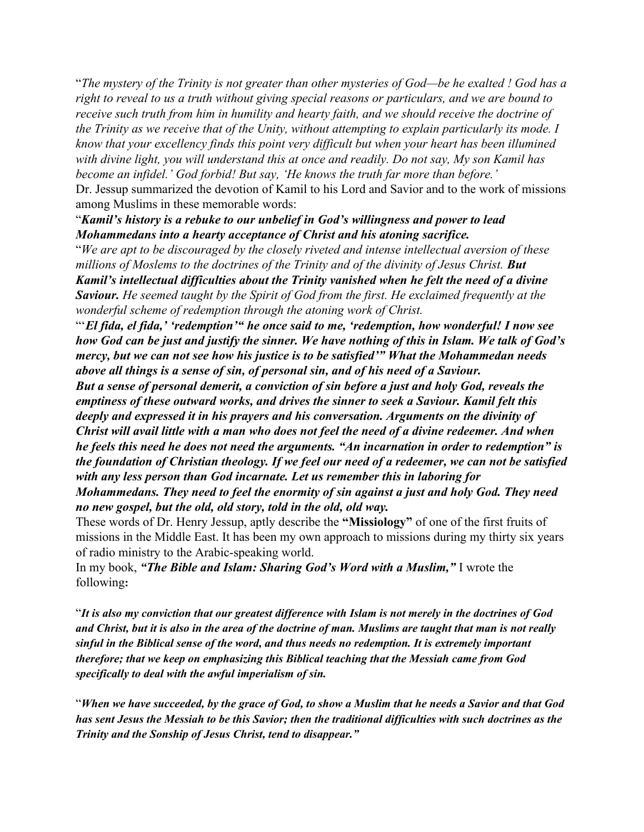"*The mystery of the Trinity is not greater than other mysteries of God—be he exalted ! God has a right to reveal to us a truth without giving special reasons or particulars, and we are bound to receive such truth from him in humility and hearty faith, and we should receive the doctrine of the Trinity as we receive that of the Unity, without attempting to explain particularly its mode. I know that your excellency finds this point very difficult but when your heart has been illumined with divine light, you will understand this at once and readily. Do not say, My son Kamil has become an infidel.' God forbid! But say, 'He knows the truth far more than before.'* Dr. Jessup summarized the devotion of Kamil to his Lord and Savior and to the work of missions among Muslims in these memorable words:

## "*Kamil's history is a rebuke to our unbelief in God's willingness and power to lead Mohammedans into a hearty acceptance of Christ and his atoning sacrifice.*

"*We are apt to be discouraged by the closely riveted and intense intellectual aversion of these millions of Moslems to the doctrines of the Trinity and of the divinity of Jesus Christ. But Kamil's intellectual difficulties about the Trinity vanished when he felt the need of a divine Saviour. He seemed taught by the Spirit of God from the first. He exclaimed frequently at the wonderful scheme of redemption through the atoning work of Christ.*

"'*El fida, el fida,' 'redemption'" he once said to me, 'redemption, how wonderful! I now see how God can be just and justify the sinner. We have nothing of this in Islam. We talk of God's mercy, but we can not see how his justice is to be satisfied'" What the Mohammedan needs above all things is a sense of sin, of personal sin, and of his need of a Saviour.*

*But a sense of personal demerit, a conviction of sin before a just and holy God, reveals the emptiness of these outward works, and drives the sinner to seek a Saviour. Kamil felt this deeply and expressed it in his prayers and his conversation. Arguments on the divinity of Christ will avail little with a man who does not feel the need of a divine redeemer. And when he feels this need he does not need the arguments. "An incarnation in order to redemption" is the foundation of Christian theology. If we feel our need of a redeemer, we can not be satisfied with any less person than God incarnate. Let us remember this in laboring for*

*Mohammedans. They need to feel the enormity of sin against a just and holy God. They need no new gospel, but the old, old story, told in the old, old way.*

These words of Dr. Henry Jessup, aptly describe the **"Missiology"** of one of the first fruits of missions in the Middle East. It has been my own approach to missions during my thirty six years of radio ministry to the Arabic-speaking world.

In my book, *"The Bible and Islam: Sharing God's Word with a Muslim,"* I wrote the following**:**

"*It is also my conviction that our greatest difference with Islam is not merely in the doctrines of God and Christ, but it is also in the area of the doctrine of man. Muslims are taught that man is not really sinful in the Biblical sense of the word, and thus needs no redemption. It is extremely important therefore; that we keep on emphasizing this Biblical teaching that the Messiah came from God specifically to deal with the awful imperialism of sin.*

"*When we have succeeded, by the grace of God, to show a Muslim that he needs a Savior and that God has sent Jesus the Messiah to be this Savior; then the traditional difficulties with such doctrines as the Trinity and the Sonship of Jesus Christ, tend to disappear."*